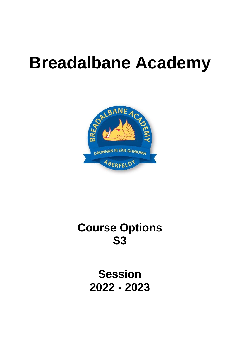# **Breadalbane Academy**



# **Course Options S3**

**Session 2022 - 2023**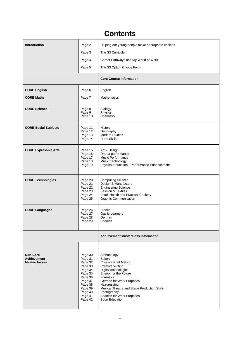# **Contents**

| <b>Introduction</b>                                           | Page 2                                                                                                                                      | Helping our young people make appropriate choices                                                                                                                                                                                                                                                        |  |
|---------------------------------------------------------------|---------------------------------------------------------------------------------------------------------------------------------------------|----------------------------------------------------------------------------------------------------------------------------------------------------------------------------------------------------------------------------------------------------------------------------------------------------------|--|
|                                                               | Page 3                                                                                                                                      | The S3 Curriculum                                                                                                                                                                                                                                                                                        |  |
|                                                               | Page 4                                                                                                                                      | Career Pathways and My World of Work                                                                                                                                                                                                                                                                     |  |
|                                                               | Page 5                                                                                                                                      | The S3 Option Choice Form                                                                                                                                                                                                                                                                                |  |
|                                                               |                                                                                                                                             | <b>Core Course Information</b>                                                                                                                                                                                                                                                                           |  |
| <b>CORE English</b>                                           | Page 6                                                                                                                                      | English                                                                                                                                                                                                                                                                                                  |  |
| <b>CORE Maths</b>                                             | Page 7                                                                                                                                      | <b>Mathematics</b>                                                                                                                                                                                                                                                                                       |  |
| <b>CORE Science</b>                                           | Page 8<br>Page 9<br>Page 10                                                                                                                 | <b>Biology</b><br>Physics<br>Chemistry                                                                                                                                                                                                                                                                   |  |
| <b>CORE Social Subjects</b>                                   | Page 11<br>Page 12<br>Page 13<br>Page 14                                                                                                    | History<br>Geography<br><b>Modern Studies</b><br><b>Rural Skills</b>                                                                                                                                                                                                                                     |  |
| <b>CORE Expressive Arts</b>                                   | Page 15<br>Page 16<br>Page 17<br>Page 18<br>Page 19                                                                                         | Art & Design<br>Drama performance<br>Music Performance<br>Music Technology<br>Physical Education - Performance Enhancement                                                                                                                                                                               |  |
| <b>CORE Technologies</b>                                      | Page 20<br>Page 21<br>Page 22<br>Page 23<br>Page 24<br>Page 25                                                                              | <b>Computing Science</b><br>Design & Manufacture<br><b>Engineering Science</b><br><b>Fashion &amp; Textiles</b><br>Food, Health and Practical Cookery<br><b>Graphic Communication</b>                                                                                                                    |  |
| <b>CORE Languages</b>                                         | Page 26<br>Page 27<br>Page 28<br>Page 29                                                                                                    | French<br>Gaelic Learners<br>German<br>Spanish                                                                                                                                                                                                                                                           |  |
|                                                               |                                                                                                                                             | <b>Achievement Masterclass Information</b>                                                                                                                                                                                                                                                               |  |
| <b>Non-Core</b><br><b>Achievement</b><br><b>Masterclasses</b> | Page 30<br>Page 31<br>Page 32<br>Page 33<br>Page 34<br>Page 35<br>Page 36<br>Page 37<br>Page 38<br>Page 39<br>Page 40<br>Page 41<br>Page 42 | Archaeology<br>Bakery<br><b>Creative Print Making</b><br><b>Creative Writing</b><br>Digital technologies<br>Energy for the Future<br>Forensics<br>German for Work Purposes<br>Hairdressing<br>Musical Theatre and Stage Production Skills<br>Photography<br>Spanish for Work Purposes<br>Sport Education |  |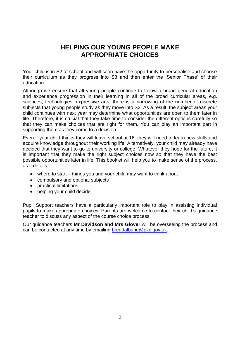# **HELPING OUR YOUNG PEOPLE MAKE APPROPRIATE CHOICES**

Your child is in S2 at school and will soon have the opportunity to personalise and choose their curriculum as they progress into S3 and then enter the 'Senior Phase' of their education.

Although we ensure that all young people continue to follow a broad general education and experience progression in their learning in all of the broad curricular areas, e.g. sciences, technologies, expressive arts, there is a narrowing of the number of discrete subjects that young people study as they move into S3. As a result, the subject areas your child continues with next year may determine what opportunities are open to them later in life. Therefore, it is crucial that they take time to consider the different options carefully so that they can make choices that are right for them. You can play an important part in supporting them as they come to a decision.

Even if your child thinks they will leave school at 16, they will need to learn new skills and acquire knowledge throughout their working life. Alternatively, your child may already have decided that they want to go to university or college. Whatever they hope for the future, it is important that they make the right subject choices now so that they have the best possible opportunities later in life. This booklet will help you to make sense of the process, as it details:

- where to start things you and your child may want to think about
- compulsory and optional subjects
- practical limitations
- helping your child decide

Pupil Support teachers have a particularly important role to play in assisting individual pupils to make appropriate choices. Parents are welcome to contact their child's guidance teacher to discuss any aspect of the course choice process.

Our guidance teachers **Mr Davidson and Mrs Glover** will be overseeing the process and can be contacted at any time by emailing [breadalbane@pkc.gov.uk.](mailto:breadalbane@pkc.gov.uk)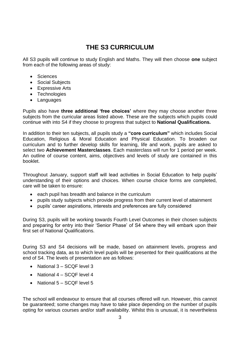# **THE S3 CURRICULUM**

All S3 pupils will continue to study English and Maths. They will then choose **one** subject from each of the following areas of study:

- Sciences
- Social Subjects
- Expressive Arts
- Technologies
- Languages

Pupils also have **three additional 'free choices'** where they may choose another three subjects from the curricular areas listed above. These are the subjects which pupils could continue with into S4 if they choose to progress that subject to **National Qualifications.**

In addition to their ten subjects, all pupils study a **"core curriculum"** which includes Social Education, Religious & Moral Education and Physical Education. To broaden our curriculum and to further develop skills for learning, life and work, pupils are asked to select two **Achievement Masterclasses**. Each masterclass will run for 1 period per week. An outline of course content, aims, objectives and levels of study are contained in this booklet.

Throughout January, support staff will lead activities in Social Education to help pupils' understanding of their options and choices. When course choice forms are completed, care will be taken to ensure:

- each pupil has breadth and balance in the curriculum
- pupils study subjects which provide progress from their current level of attainment
- pupils' career aspirations, interests and preferences are fully considered

During S3, pupils will be working towards Fourth Level Outcomes in their chosen subjects and preparing for entry into their 'Senior Phase' of S4 where they will embark upon their first set of National Qualifications.

During S3 and S4 decisions will be made, based on attainment levels, progress and school tracking data, as to which level pupils will be presented for their qualifications at the end of S4. The levels of presentation are as follows:

- National 3 SCQF level 3
- National 4 SCQF level 4
- National 5 SCQF level 5

The school will endeavour to ensure that all courses offered will run. However, this cannot be guaranteed; some changes may have to take place depending on the number of pupils opting for various courses and/or staff availability. Whilst this is unusual, it is nevertheless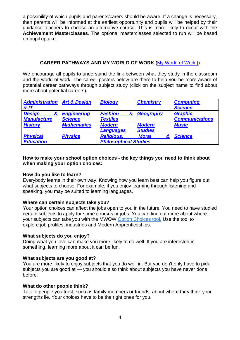a possibility of which pupils and parents/carers should be aware. If a change is necessary, then parents will be informed at the earliest opportunity and pupils will be helped by their guidance teachers to choose an alternative course. This is more likely to occur with the **Achievement Masterclasses**. The optional masterclasses selected to run will be based on pupil uptake.

## **CAREER PATHWAYS AND MY WORLD OF WORK (**[My World of Work |\)](https://www.myworldofwork.co.uk/)

We encourage all pupils to understand the link between what they study in the classroom and the world of work. The career posters below are there to help you be more aware of potential career pathways through subject study (click on the subject name to find about more about potential careers).

| <b>Administration   Art &amp; Design</b><br><b>&amp; IT</b> |                                      | <b>Biology</b>                                    | <b>Chemistry</b>                | <b>Computing</b><br><b>Science</b>      |
|-------------------------------------------------------------|--------------------------------------|---------------------------------------------------|---------------------------------|-----------------------------------------|
| <b>Design</b><br><b>Manufacture</b>                         | <b>Engineering</b><br><b>Science</b> | <b>Fashion</b><br><b>Textiles</b>                 | Geography                       | <b>Graphic</b><br><b>Communications</b> |
| <b>History</b>                                              | <b>Mathematics</b>                   | <b>Modern</b><br><b>Languages</b>                 | <b>Modern</b><br><b>Studies</b> | <b>Music</b>                            |
| <b>Physical</b><br><b>Education</b>                         | <b>Physics</b>                       | <b>Religious,</b><br><b>Philosophical Studies</b> | <b>Moral</b>                    | <b>Science</b>                          |

#### **How to make your school option choices - the key things you need to think about when making your option choices:**

#### **How do you like to learn?**

Everybody learns in their own way. Knowing how you learn best can help you figure out what subjects to choose. For example, if you enjoy learning through listening and speaking, you may be suited to learning languages.

#### **Where can certain subjects take you?**

Your option choices can affect the jobs open to you in the future. You need to have studied certain subjects to apply for some courses or jobs. You can find out more about where your subjects can take you with the MWOW Option [Choices tool.](https://www.myworldofwork.co.uk/my-career-options/choosing-my-subjects) Use the tool to explore job profiles, industries and Modern Apprenticeships.

#### **What subjects do you enjoy?**

Doing what you love can make you more likely to do well. If you are interested in something, learning more about it can be fun.

#### **What subjects are you good at?**

You are more likely to enjoy subjects that you do well in. But you don't only have to pick subjects you are good at — you should also think about subjects you have never done before.

#### **What do other people think?**

Talk to people you trust, such as family members or friends, about where they think your strengths lie. Your choices have to be the right ones for you.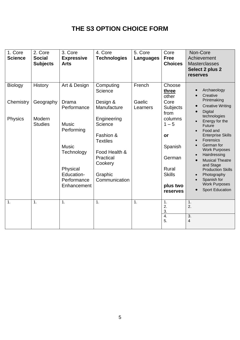# **THE S3 OPTION CHOICE FORM**

| 1. Core<br><b>Science</b> | 2. Core<br><b>Social</b><br><b>Subjects</b> | 3. Core<br><b>Expressive</b><br><b>Arts</b>                                                                      | 4. Core<br><b>Technologies</b>                                                                                              | 5. Core<br><b>Languages</b> | Core<br><b>Free</b><br><b>Choices</b>                                               | Non-Core<br>Achievement<br><b>Masterclasses</b><br>Select 2 plus 2<br>reserves                                                                                                                                                                                                                                |
|---------------------------|---------------------------------------------|------------------------------------------------------------------------------------------------------------------|-----------------------------------------------------------------------------------------------------------------------------|-----------------------------|-------------------------------------------------------------------------------------|---------------------------------------------------------------------------------------------------------------------------------------------------------------------------------------------------------------------------------------------------------------------------------------------------------------|
| <b>Biology</b>            | <b>History</b>                              | Art & Design                                                                                                     | Computing<br>Science                                                                                                        | French                      | Choose<br>three<br>other                                                            | Archaeology<br>Creative                                                                                                                                                                                                                                                                                       |
| Chemistry                 | Geography                                   | Drama<br>Performance                                                                                             | Design &<br>Manufacture                                                                                                     | Gaelic<br>Learners          | Core<br>Subjects<br>from                                                            | Printmaking<br><b>Creative Writing</b><br>Digital                                                                                                                                                                                                                                                             |
| Physics                   | Modern<br><b>Studies</b>                    | <b>Music</b><br>Performing<br><b>Music</b><br>Technology<br>Physical<br>Education-<br>Performance<br>Enhancement | Engineering<br>Science<br>Fashion &<br><b>Textiles</b><br>Food Health &<br>Practical<br>Cookery<br>Graphic<br>Communication |                             | columns<br>$1 - 5$<br>or<br>Spanish<br>German<br>Rural<br><b>Skills</b><br>plus two | technologies<br>Energy for the<br><b>Future</b><br>Food and<br><b>Enterprise Skills</b><br>Forensics<br>German for<br><b>Work Purposes</b><br>Hairdressing<br><b>Musical Theatre</b><br>and Stage<br><b>Production Skills</b><br>Photography<br>Spanish for<br><b>Work Purposes</b><br><b>Sport Education</b> |
|                           |                                             |                                                                                                                  |                                                                                                                             |                             | reserves                                                                            |                                                                                                                                                                                                                                                                                                               |
| 1.                        | $\mathbf{1}$ .                              | 1.                                                                                                               | $\mathbf{1}$ .                                                                                                              | 1.                          | 1.<br>2.<br>3.<br>$\overline{4}$ .<br>5.                                            | 1.<br>2.<br>$\overline{3}$ .<br>4                                                                                                                                                                                                                                                                             |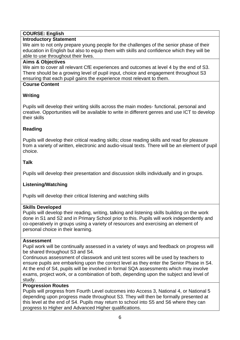# **COURSE: English**

# **Introductory Statement**

We aim to not only prepare young people for the challenges of the senior phase of their education in English but also to equip them with skills and confidence which they will be able to use throughout their lives.

#### **Aims & Objectives**

We aim to cover all relevant CfE experiences and outcomes at level 4 by the end of S3. There should be a growing level of pupil input, choice and engagement throughout S3 ensuring that each pupil gains the experience most relevant to them.

# **Course Content**

# **Writing**

Pupils will develop their writing skills across the main modes- functional, personal and creative. Opportunities will be available to write in different genres and use ICT to develop their skills

# **Reading**

Pupils will develop their critical reading skills; close reading skills and read for pleasure from a variety of written, electronic and audio-visual texts. There will be an element of pupil choice.

# **Talk**

Pupils will develop their presentation and discussion skills individually and in groups.

# **Listening/Watching**

Pupils will develop their critical listening and watching skills

## **Skills Developed**

Pupils will develop their reading, writing, talking and listening skills building on the work done in S1 and S2 and in Primary School prior to this. Pupils will work independently and co-operatively in groups using a variety of resources and exercising an element of personal choice in their learning.

## **Assessment**

Pupil work will be continually assessed in a variety of ways and feedback on progress will be shared throughout S3 and S4.

Continuous assessment of classwork and unit test scores will be used by teachers to ensure pupils are embarking upon the correct level as they enter the Senior Phase in S4. At the end of S4, pupils will be involved in formal SQA assessments which may involve exams, project work, or a combination of both, depending upon the subject and level of study.

# **Progression Routes**

Pupils will progress from Fourth Level outcomes into Access 3, National 4, or National 5 depending upon progress made throughout S3. They will then be formally presented at this level at the end of S4. Pupils may return to school into S5 and S6 where they can progress to Higher and Advanced Higher qualifications.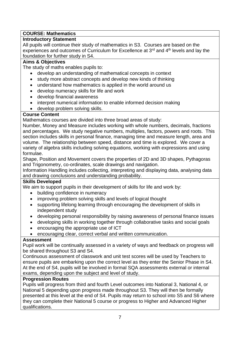# **COURSE: Mathematics**

# **Introductory Statement**

All pupils will continue their study of mathematics in S3. Courses are based on the experiences and outcomes of Curriculum for Excellence at  $3<sup>rd</sup>$  and  $4<sup>th</sup>$  levels and lay the foundation for further study in S4.

# **Aims & Objectives**

The study of maths enables pupils to:

- develop an understanding of mathematical concepts in context
- study more abstract concepts and develop new kinds of thinking
- understand how mathematics is applied in the world around us
- develop numeracy skills for life and work
- develop financial awareness
- interpret numerical information to enable informed decision making
- develop problem solving skills.

# **Course Content**

Mathematics courses are divided into three broad areas of study:

Number, Money and Measure includes working with whole numbers, decimals, fractions and percentages. We study negative numbers, multiples, factors, powers and roots. This section includes skills in personal finance, managing time and measure length, area and volume. The relationship between speed, distance and time is explored. We cover a variety of algebra skills including solving equations, working with expressions and using formulae.

Shape, Position and Movement covers the properties of 2D and 3D shapes, Pythagoras and Trigonometry, co-ordinates, scale drawings and navigation.

Information Handling includes collecting, interpreting and displaying data, analysing data and drawing conclusions and understanding probability.

## **Skills Developed**

We aim to support pupils in their development of skills for life and work by:

- building confidence in numeracy
- improving problem solving skills and levels of logical thought
- supporting lifelong learning through encouraging the development of skills in independent study
- developing personal responsibility by raising awareness of personal finance issues
- developing skills in working together through collaborative tasks and social goals
- encouraging the appropriate use of ICT
- encouraging clear, correct verbal and written communication.

## **Assessment**

Pupil work will be continually assessed in a variety of ways and feedback on progress will be shared throughout S3 and S4.

Continuous assessment of classwork and unit test scores will be used by Teachers to ensure pupils are embarking upon the correct level as they enter the Senior Phase in S4. At the end of S4, pupils will be involved in formal SQA assessments external or internal exams, depending upon the subject and level of study.

## **Progression Routes**

Pupils will progress from third and fourth Level outcomes into National 3, National 4, or National 5 depending upon progress made throughout S3. They will then be formally presented at this level at the end of S4. Pupils may return to school into S5 and S6 where they can complete their National 5 course or progress to Higher and Advanced Higher qualifications.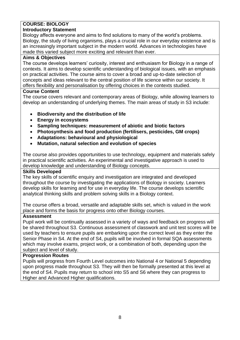# **COURSE: BIOLOGY**

# **Introductory Statement**

Biology affects everyone and aims to find solutions to many of the world's problems. Biology, the study of living organisms, plays a crucial role in our everyday existence and is an increasingly important subject in the modern world. Advances in technologies have made this varied subject more exciting and relevant than ever.

# **Aims & Objectives**

The course develops learners' curiosity, interest and enthusiasm for Biology in a range of contexts. It aims to develop scientific understanding of biological issues, with an emphasis on practical activities. The course aims to cover a broad and up-to-date selection of concepts and ideas relevant to the central position of life science within our society. It offers flexibility and personalisation by offering choices in the contexts studied.

# **Course Content**

The course covers relevant and contemporary areas of Biology, while allowing learners to develop an understanding of underlying themes. The main areas of study in S3 include:

- **Biodiversity and the distribution of life**
- **Energy in ecosystems**
- **Sampling techniques: measurement of abiotic and biotic factors**
- **Photosynthesis and food production (fertilisers, pesticides, GM crops)**
- **Adaptations: behavioural and physiological**
- **Mutation, natural selection and evolution of species**

The course also provides opportunities to use technology, equipment and materials safely in practical scientific activities. An experimental and investigative approach is used to develop knowledge and understanding of Biology concepts.

## **Skills Developed**

The key skills of scientific enquiry and investigation are integrated and developed throughout the course by investigating the applications of Biology in society. Learners develop skills for learning and for use in everyday life. The course develops scientific analytical thinking skills and problem solving skills in a Biology context.

The course offers a broad, versatile and adaptable skills set, which is valued in the work place and forms the basis for progress onto other Biology courses.

## **Assessment**

Pupil work will be continually assessed in a variety of ways and feedback on progress will be shared throughout S3. Continuous assessment of classwork and unit test scores will be used by teachers to ensure pupils are embarking upon the correct level as they enter the Senior Phase in S4. At the end of S4, pupils will be involved in formal SQA assessments which may involve exams, project work, or a combination of both, depending upon the subject and level of study.

## **Progression Routes**

Pupils will progress from Fourth Level outcomes into National 4 or National 5 depending upon progress made throughout S3. They will then be formally presented at this level at the end of S4. Pupils may return to school into S5 and S6 where they can progress to Higher and Advanced Higher qualifications.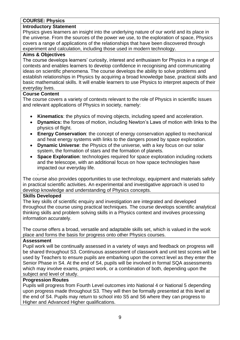# **COURSE: Physics**

#### **Introductory Statement**

Physics gives learners an insight into the underlying nature of our world and its place in the universe. From the sources of the power we use, to the exploration of space, Physics covers a range of applications of the relationships that have been discovered through experiment and calculation, including those used in modern technology.

#### **Aims & Objectives**

The course develops learners' curiosity, interest and enthusiasm for Physics in a range of contexts and enables learners to develop confidence in recognising and communicating ideas on scientific phenomena. The course develops the ability to solve problems and establish relationships in Physics by acquiring a broad knowledge base, practical skills and basic mathematical skills. It will enable learners to use Physics to interpret aspects of their everyday lives.

#### **Course Content**

The course covers a variety of contexts relevant to the role of Physics in scientific issues and relevant applications of Physics in society, namely:

- **Kinematics**: the physics of moving objects, including speed and acceleration.
- **Dynamics:** the forces of motion, including Newton's Laws of motion with links to the physics of flight.
- **Energy Conservation**: the concept of energy conservation applied to mechanical and heat energy systems with links to the dangers posed by space exploration.
- **Dynamic Universe**: the Physics of the universe, with a key focus on our solar system, the formation of stars and the formation of planets.
- **Space Exploration**: technologies required for space exploration including rockets and the telescope, with an additional focus on how space technologies have impacted our everyday life.

The course also provides opportunities to use technology, equipment and materials safely in practical scientific activities. An experimental and investigative approach is used to develop knowledge and understanding of Physics concepts.

#### **Skills Developed**

.

The key skills of scientific enquiry and investigation are integrated and developed throughout the course using practical techniques. The course develops scientific analytical thinking skills and problem solving skills in a Physics context and involves processing information accurately.

The course offers a broad, versatile and adaptable skills set, which is valued in the work place and forms the basis for progress onto other Physics courses.

#### **Assessment**

Pupil work will be continually assessed in a variety of ways and feedback on progress will be shared throughout S3. Continuous assessment of classwork and unit test scores will be used by Teachers to ensure pupils are embarking upon the correct level as they enter the Senior Phase in S4. At the end of S4, pupils will be involved in formal SQA assessments which may involve exams, project work, or a combination of both, depending upon the subject and level of study.

#### **Progression Routes**

Pupils will progress from Fourth Level outcomes into National 4 or National 5 depending upon progress made throughout S3. They will then be formally presented at this level at the end of S4. Pupils may return to school into S5 and S6 where they can progress to Higher and Advanced Higher qualifications.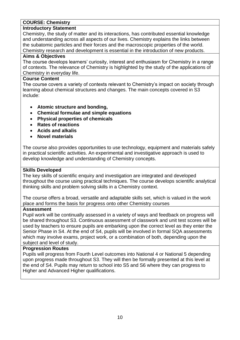## **COURSE: Chemistry**

#### **Introductory Statement**

Chemistry, the study of matter and its interactions, has contributed essential knowledge and understanding across all aspects of our lives. Chemistry explains the links between the subatomic particles and their forces and the macroscopic properties of the world. Chemistry research and development is essential in the introduction of new products.

#### **Aims & Objectives**

The course develops learners' curiosity, interest and enthusiasm for Chemistry in a range of contexts. The relevance of Chemistry is highlighted by the study of the applications of Chemistry in everyday life.

#### **Course Content**

The course covers a variety of contexts relevant to Chemistry's impact on society through learning about chemical structures and changes. The main concepts covered in S3 include:

- **Atomic structure and bonding,**
- **Chemical formulae and simple equations**
- **Physical properties of chemicals**
- **Rates of reactions**
- **Acids and alkalis**
- **Novel materials**

The course also provides opportunities to use technology, equipment and materials safely in practical scientific activities. An experimental and investigative approach is used to develop knowledge and understanding of Chemistry concepts.

#### **Skills Developed**

The key skills of scientific enquiry and investigation are integrated and developed throughout the course using practical techniques. The course develops scientific analytical thinking skills and problem solving skills in a Chemistry context.

The course offers a broad, versatile and adaptable skills set, which is valued in the work place and forms the basis for progress onto other Chemistry courses

#### **Assessment**

Pupil work will be continually assessed in a variety of ways and feedback on progress will be shared throughout S3. Continuous assessment of classwork and unit test scores will be used by teachers to ensure pupils are embarking upon the correct level as they enter the Senior Phase in S4. At the end of S4, pupils will be involved in formal SQA assessments which may involve exams, project work, or a combination of both, depending upon the subject and level of study.

#### **Progression Routes**

Pupils will progress from Fourth Level outcomes into National 4 or National 5 depending upon progress made throughout S3. They will then be formally presented at this level at the end of S4. Pupils may return to school into S5 and S6 where they can progress to Higher and Advanced Higher qualifications.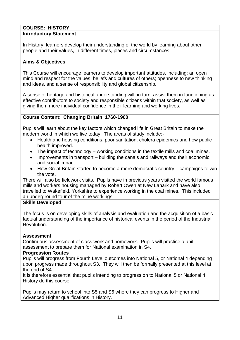# **COURSE: HISTORY**

#### **Introductory Statement**

In History, learners develop their understanding of the world by learning about other people and their values, in different times, places and circumstances.

## **Aims & Objectives**

This Course will encourage learners to develop important attitudes, including: an open mind and respect for the values, beliefs and cultures of others; openness to new thinking and ideas, and a sense of responsibility and global citizenship.

A sense of heritage and historical understanding will, in turn, assist them in functioning as effective contributors to society and responsible citizens within that society, as well as giving them more individual confidence in their learning and working lives.

# **Course Content: Changing Britain, 1760-1900**

Pupils will learn about the key factors which changed life in Great Britain to make the modern world in which we live today. The areas of study include:-

- Health and housing conditions, poor sanitation, cholera epidemics and how public health improved.
- The impact of technology working conditions in the textile mills and coal mines.
- Improvements in transport building the canals and railways and their economic and social impact.
- How Great Britain started to become a more democratic country campaigns to win the vote.

There will also be fieldwork visits. Pupils have in previous years visited the world famous mills and workers housing managed by Robert Owen at New Lanark and have also travelled to Wakefield, Yorkshire to experience working in the coal mines. This included an underground tour of the mine workings.

#### **Skills Developed**

The focus is on developing skills of analysis and evaluation and the acquisition of a basic factual understanding of the importance of historical events in the period of the Industrial Revolution.

#### **Assessment**

Continuous assessment of class work and homework. Pupils will practice a unit assessment to prepare them for National examination in S4.

#### **Progression Routes**

Pupils will progress from Fourth Level outcomes into National 5, or National 4 depending upon progress made throughout S3. They will then be formally presented at this level at the end of S4.

It is therefore essential that pupils intending to progress on to National 5 or National 4 History do this course.

Pupils may return to school into S5 and S6 where they can progress to Higher and Advanced Higher qualifications in History.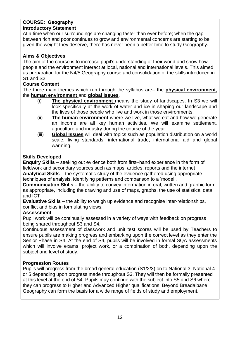# **COURSE: Geography**

# **Introductory Statement**

At a time when our surroundings are changing faster than ever before; when the gap between rich and poor continues to grow and environmental concerns are starting to be given the weight they deserve, there has never been a better time to study Geography.

#### **Aims & Objectives**

The aim of the course is to increase pupil's understanding of their world and show how people and the environment interact at local, national and international levels. This aimed as preparation for the N4/5 Geography course and consolidation of the skills introduced in S1 and S2.

#### **Course Content**

The three main themes which run through the syllabus are– the **physical environment**, the **human environment** and **global Issues**.

- (i) **The physical environment** means the study of landscapes. In S3 we will look specifically at the work of water and ice in shaping our landscape and the lives of those people who live and work in those environments.
- (ii) **The human environment** where we live, what we eat and how we generate an income are all key human activities. We will examine settlement, agriculture and industry during the course of the year.
- (iii) **Global Issues** will deal with topics such as population distribution on a world scale, living standards, international trade, international aid and global warming.

## **Skills Developed**

**Enquiry Skills –** seeking out evidence both from first–hand experience in the form of fieldwork and secondary sources such as maps, articles, reports and the internet **Analytical Skills –** the systematic study of the evidence gathered using appropriate

techniques of analysis, identifying patterns and comparison to a 'model'.

**Communication Skills –** the ability to convey information in oral, written and graphic form as appropriate, including the drawing and use of maps, graphs, the use of statistical data and ICT

**Evaluative Skills –** the ability to weigh up evidence and recognise inter-relationships, conflict and bias in formulating views.

#### **Assessment**

Pupil work will be continually assessed in a variety of ways with feedback on progress being shared throughout S3 and S4.

Continuous assessment of classwork and unit test scores will be used by Teachers to ensure pupils are making progress and embarking upon the correct level as they enter the Senior Phase in S4. At the end of S4, pupils will be involved in formal SQA assessments which will involve exams, project work, or a combination of both, depending upon the subject and level of study.

#### **Progression Routes**

Pupils will progress from the broad general education (S1/2/3) on to National 3, National 4 or 5 depending upon progress made throughout S3. They will then be formally presented at this level at the end of S4. Pupils may continue with the subject into S5 and S6 where they can progress to Higher and Advanced Higher qualifications. Beyond Breadalbane Geography can form the basis for a wide range of fields of study and employment.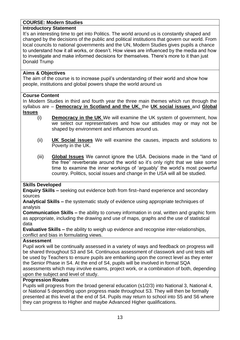# **COURSE: Modern Studies**

# **Introductory Statement**

It's an interesting time to get into Politics. The world around us is constantly shaped and changed by the decisions of the public and political institutions that govern our world. From local councils to national governments and the UN, Modern Studies gives pupils a chance to understand how it all works, or doesn't. How views are influenced by the media and how to investigate and make informed decisions for themselves. There's more to it than just Donald Trump

# **Aims & Objectives**

The aim of the course is to increase pupil's understanding of their world and show how people, institutions and global powers shape the world around us

## **Course Content**

In Modern Studies in third and fourth year the three main themes which run through the syllabus are – **Democracy in Scotland and the UK**, the **UK social issues** and **Global Issues**

- (i) **Democracy in the UK** We will examine the UK system of government, how we select our representatives and how our attitudes may or may not be shaped by environment and influences around us.
- (ii) **UK Social issues** We will examine the causes, impacts and solutions to Poverty in the UK.
- (iii) **Global Issues** We cannot ignore the USA. Decisions made in the "land of the free" reverberate around the world so it's only right that we take some time to examine the inner workings of 'arguably' the world's most powerful country. Politics, social issues and change in the USA will all be studied.

# **Skills Developed**

**Enquiry Skills –** seeking out evidence both from first–hand experience and secondary sources

**Analytical Skills –** the systematic study of evidence using appropriate techniques of analysis

**Communication Skills –** the ability to convey information in oral, written and graphic form as appropriate, including the drawing and use of maps, graphs and the use of statistical data

**Evaluative Skills –** the ability to weigh up evidence and recognise inter-relationships, conflict and bias in formulating views.

## **Assessment**

Pupil work will be continually assessed in a variety of ways and feedback on progress will be shared throughout S3 and S4. Continuous assessment of classwork and unit tests will be used by Teachers to ensure pupils are embarking upon the correct level as they enter the Senior Phase in S4. At the end of S4, pupils will be involved in formal SQA assessments which may involve exams, project work, or a combination of both, depending upon the subject and level of study.

## **Progression Routes**

Pupils will progress from the broad general education (s1/2/3) into National 3, National 4, or National 5 depending upon progress made throughout S3. They will then be formally presented at this level at the end of S4. Pupils may return to school into S5 and S6 where they can progress to Higher and maybe Advanced Higher qualifications.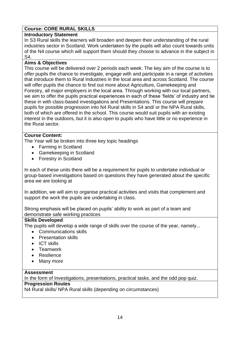# **Course: CORE RURAL SKILLS**

## **Introductory Statement**

In S3 Rural skills the learners will broaden and deepen their understanding of the rural industries sector in Scotland. Work undertaken by the pupils will also count towards units of the N4 course which will support them should they choose to advance in the subject in S4.

#### **Aims & Objectives**

This course will be delivered over 2 periods each week. The key aim of the course is to offer pupils the chance to investigate, engage with and participate in a range of activities that introduce them to Rural Industries in the local area and across Scotland. The course will offer pupils the chance to find out more about Agriculture, Gamekeeping and Forestry, all major employers in the local area. Through working with our local partners, we aim to offer the pupils practical experiences in each of these 'fields' of industry and tie these in with class-based investigations and Presentations. This course will prepare pupils for possible progression into N4 Rural skills in S4 and/ or the NPA Rural skills, both of which are offered in the school. This course would suit pupils with an existing interest in the outdoors, but it is also open to pupils who have little or no experience in the Rural sector.

#### **Course Content:**

The Year will be broken into three key topic headings

- Farming in Scotland
- Gamekeeping in Scotland
- Forestry in Scotland

In each of these units there will be a requirement for pupils to undertake individual or group-based investigations based on questions they have generated about the specific area we are looking at

In addition, we will aim to organise practical activities and visits that complement and support the work the pupils are undertaking in class.

Strong emphasis will be placed on pupils' ability to work as part of a team and demonstrate safe working practices

#### **Skills Developed**

The pupils will develop a wide range of skills over the course of the year, namely...

- Communications skills
- Presentation skills
- ICT skills
- **Teamwork**
- Resilience
- Many more

#### **Assessment**

In the form of Investigations, presentations, practical tasks, and the odd pop quiz.

#### **Progression Routes**

N4 Rural skills/ NPA Rural skills (depending on circumstances)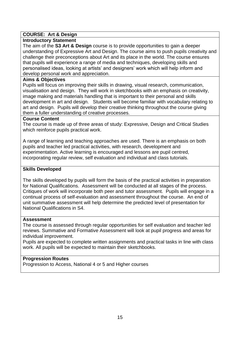# **COURSE: Art & Design**

#### **Introductory Statement**

The aim of the **S3 Art & Design** course is to provide opportunities to gain a deeper understanding of Expressive Art and Design. The course aims to push pupils creativity and challenge their preconceptions about Art and its place in the world. The course ensures that pupils will experience a range of media and techniques, developing skills and personalised ideas, looking at artists' and designers' work which will help inform and develop personal work and appreciation.

#### **Aims & Objectives**

Pupils will focus on improving their skills in drawing, visual research, communication, visualisation and design. They will work in sketchbooks with an emphasis on creativity, image making and materials handling that is important to their personal and skills development in art and design. Students will become familiar with vocabulary relating to art and design. Pupils will develop their creative thinking throughout the course giving them a fuller understanding of creative processes.

#### **Course Content**

The course is made up of three areas of study: Expressive, Design and Critical Studies which reinforce pupils practical work.

A range of learning and teaching approaches are used. There is an emphasis on both pupils and teacher led practical activities, with research, development and experimentation. Active learning is encouraged and lessons are pupil centred, incorporating regular review, self evaluation and individual and class tutorials.

#### **Skills Developed**

The skills developed by pupils will form the basis of the practical activities in preparation for National Qualifications. Assessment will be conducted at all stages of the process. Critiques of work will incorporate both peer and tutor assessment. Pupils will engage in a continual process of self-evaluation and assessment throughout the course. An end of unit summative assessment will help determine the predicted level of presentation for National Qualifications in S4.

#### **Assessment**

The course is assessed through regular opportunities for self evaluation and teacher led reviews. Summative and Formative Assessment will look at pupil progress and areas for individual improvement.

Pupils are expected to complete written assignments and practical tasks in line with class work. All pupils will be expected to maintain their sketchbooks.

#### **Progression Routes**

Progression to Access, National 4 or 5 and Higher courses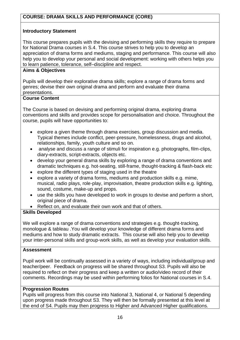# **Introductory Statement**

This course prepares pupils with the devising and performing skills they require to prepare for National Drama courses in S.4. This course strives to help you to develop an appreciation of drama forms and mediums, staging and performance. This course will also help you to develop your personal and social development: working with others helps you to learn patience, tolerance, self–discipline and respect.

# **Aims & Objectives**

Pupils will develop their explorative drama skills; explore a range of drama forms and genres; devise their own original drama and perform and evaluate their drama presentations.

# **Course Content**

The Course is based on devising and performing original drama, exploring drama conventions and skills and provides scope for personalisation and choice. Throughout the course, pupils will have opportunities to:

- explore a given theme through drama exercises, group discussion and media. Typical themes include conflict, peer-pressure, homelessness, drugs and alcohol, relationships, family, youth culture and so on.
- analyse and discuss a range of stimuli for inspiration e.g. photographs, film-clips, diary-extracts, script-extracts, objects etc.
- develop your general drama skills by exploring a range of drama conventions and dramatic techniques e.g. hot-seating, still-frame, thought-tracking & flash-back etc
- explore the different types of staging used in the theatre
- explore a variety of drama forms, mediums and production skills e.g. mime, musical, radio plays, role-play, improvisation, theatre production skills e.g. lighting, sound, costume, make-up and props.
- use the skills you have developed to work in groups to devise and perform a short, original piece of drama.
- Reflect on, and evaluate their own work and that of others.

# **Skills Developed**

We will explore a range of drama conventions and strategies e.g. thought-tracking, monologue & tableau .You will develop your knowledge of different drama forms and mediums and how to study dramatic extracts. This course will also help you to develop your inter-personal skills and group-work skills, as well as develop your evaluation skills.

## **Assessment**

Pupil work will be continually assessed in a variety of ways, including individual/group and teacher/peer. Feedback on progress will be shared throughout S3. Pupils will also be required to reflect on their progress and keep a written or audio/video record of their comments. Recordings may be used within performing folios for National courses in S.4.

## **Progression Routes**

Pupils will progress from this course into National 3, National 4, or National 5 depending upon progress made throughout S3. They will then be formally presented at this level at the end of S4. Pupils may then progress to Higher and Advanced Higher qualifications.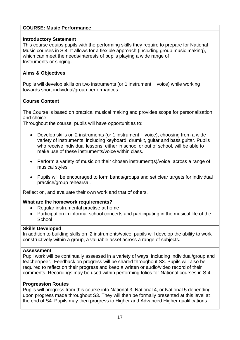# **COURSE: Music Performance**

## **Introductory Statement**

This course equips pupils with the performing skills they require to prepare for National Music courses in S.4. It allows for a flexible approach (including group music making), which can meet the needs/interests of pupils playing a wide range of Instruments or singing.

# **Aims & Objectives**

Pupils will develop skills on two instruments (or 1 instrument + voice) while working towards short individual/group performances.

## **Course Content**

The Course is based on practical musical making and provides scope for personalisation and choice.

Throughout the course, pupils will have opportunities to:

- Develop skills on 2 instruments (or 1 instrument + voice), choosing from a wide variety of instruments, including keyboard, drumkit, guitar and bass guitar. Pupils who receive individual lessons, either in school or out of school, will be able to make use of these instruments/voice within class.
- Perform a variety of music on their chosen instrument(s)/voice across a range of musical styles.
- Pupils will be encouraged to form bands/groups and set clear targets for individual practice/group rehearsal.

Reflect on, and evaluate their own work and that of others.

#### **What are the homework requirements?**

- Regular instrumental practise at home
- Participation in informal school concerts and participating in the musical life of the **School**

## **Skills Developed**

In addition to building skills on 2 instruments/voice, pupils will develop the ability to work constructively within a group, a valuable asset across a range of subjects.

#### **Assessment**

Pupil work will be continually assessed in a variety of ways, including individual/group and teacher/peer. Feedback on progress will be shared throughout S3. Pupils will also be required to reflect on their progress and keep a written or audio/video record of their comments. Recordings may be used within performing folios for National courses in S.4.

#### **Progression Routes**

Pupils will progress from this course into National 3, National 4, or National 5 depending upon progress made throughout S3. They will then be formally presented at this level at the end of S4. Pupils may then progress to Higher and Advanced Higher qualifications.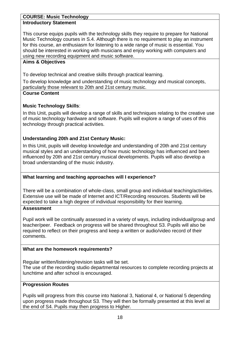#### **COURSE: Music Technology Introductory Statement**

This course equips pupils with the technology skills they require to prepare for National Music Technology courses in S.4. Although there is no requirement to play an instrument for this course, an enthusiasm for listening to a wide range of music is essential. You should be interested in working with musicians and enjoy working with computers and using new recording equipment and music software.

# **Aims & Objectives**

To develop technical and creative skills through practical learning.

To develop knowledge and understanding of music technology and musical concepts, particularly those relevant to 20th and 21st century music.

# **Course Content**

# **Music Technology Skills**:

In this Unit, pupils will develop a range of skills and techniques relating to the creative use of music technology hardware and software. Pupils will explore a range of uses of this technology through practical activities.

# **Understanding 20th and 21st Century Music:**

In this Unit, pupils will develop knowledge and understanding of 20th and 21st century musical styles and an understanding of how music technology has influenced and been influenced by 20th and 21st century musical developments. Pupils will also develop a broad understanding of the music industry.

# **What learning and teaching approaches will I experience?**

There will be a combination of whole-class, small group and individual teaching/activities. Extensive use will be made of Internet and ICT/Recording resources. Students will be expected to take a high degree of individual responsibility for their learning.

## **Assessment**

Pupil work will be continually assessed in a variety of ways, including individual/group and teacher/peer. Feedback on progress will be shared throughout S3. Pupils will also be required to reflect on their progress and keep a written or audio/video record of their comments.

## **What are the homework requirements?**

Regular written/listening/revision tasks will be set.

The use of the recording studio departmental resources to complete recording projects at lunchtime and after school is encouraged.

## **Progression Routes**

Pupils will progress from this course into National 3, National 4, or National 5 depending upon progress made throughout S3. They will then be formally presented at this level at the end of S4. Pupils may then progress to Higher.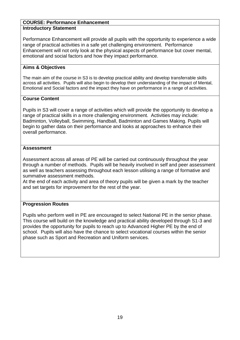#### **COURSE: Performance Enhancement Introductory Statement**

Performance Enhancement will provide all pupils with the opportunity to experience a wide range of practical activities in a safe yet challenging environment. Performance Enhancement will not only look at the physical aspects of performance but cover mental, emotional and social factors and how they impact performance.

#### **Aims & Objectives**

The main aim of the course in S3 is to develop practical ability and develop transferrable skills across all activities. Pupils will also begin to develop their understanding of the impact of Mental, Emotional and Social factors and the impact they have on performance in a range of activities.

#### **Course Content**

Pupils in S3 will cover a range of activities which will provide the opportunity to develop a range of practical skills in a more challenging environment. Activities may include: Badminton, Volleyball, Swimming, Handball, Badminton and Games Making. Pupils will begin to gather data on their performance and looks at approaches to enhance their overall performance.

#### **Assessment**

Assessment across all areas of PE will be carried out continuously throughout the year through a number of methods. Pupils will be heavily involved in self and peer assessment as well as teachers assessing throughout each lesson utilising a range of formative and summative assessment methods.

At the end of each activity and area of theory pupils will be given a mark by the teacher and set targets for improvement for the rest of the year.

## **Progression Routes**

Pupils who perform well in PE are encouraged to select National PE in the senior phase. This course will build on the knowledge and practical ability developed through S1-3 and provides the opportunity for pupils to reach up to Advanced Higher PE by the end of school. Pupils will also have the chance to select vocational courses within the senior phase such as Sport and Recreation and Uniform services.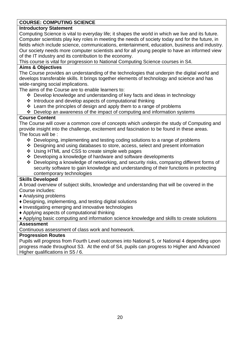# **COURSE: COMPUTING SCIENCE**

# **Introductory Statement**

Computing Science is vital to everyday life; it shapes the world in which we live and its future. Computer scientists play key roles in meeting the needs of society today and for the future, in fields which include science, communications, entertainment, education, business and industry. Our society needs more computer scientists and for all young people to have an informed view of the IT industry and its contribution to the economy.

This course is vital for progression to National Computing Science courses in S4.

# **Aims & Objectives**

The Course provides an understanding of the technologies that underpin the digital world and develops transferable skills. It brings together elements of technology and science and has wide-ranging social implications.

The aims of the Course are to enable learners to:

- ❖ Develop knowledge and understanding of key facts and ideas in technology
- ❖ Introduce and develop aspects of computational thinking
- ❖ Learn the principles of design and apply them to a range of problems

❖ Develop an awareness of the impact of computing and information systems

# **Course Content**

The Course will cover a common core of concepts which underpin the study of Computing and provide insight into the challenge, excitement and fascination to be found in these areas. The focus will be :

- ❖ Developing, implementing and testing coding solutions to a range of problems
- ❖ Designing and using databases to store, access, select and present information
- ❖ Using HTML and CSS to create simple web pages
- ❖ Developing a knowledge of hardware and software developments
- ❖ Developing a knowledge of networking, and security risks, comparing different forms of security software to gain knowledge and understanding of their functions in protecting contemporary technologies

## **Skills Developed**

A broad overview of subject skills, knowledge and understanding that will be covered in the Course includes:

- ♦ Analysing problems
- ♦ Designing, implementing, and testing digital solutions
- ♦ Investigating emerging and innovative technologies
- ♦ Applying aspects of computational thinking
- ♦ Applying basic computing and information science knowledge and skills to create solutions

## **Assessment**

Continuous assessment of class work and homework.

## **Progression Routes**

Pupils will progress from Fourth Level outcomes into National 5, or National 4 depending upon progress made throughout S3. At the end of S4, pupils can progress to Higher and Advanced Higher qualifications in S5 / 6.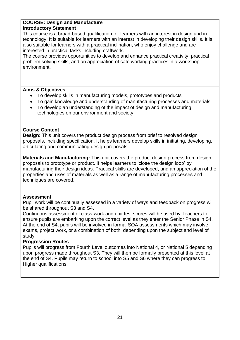#### **COURSE: Design and Manufacture**

#### **Introductory Statement**

This course is a broad-based qualification for learners with an interest in design and in technology. It is suitable for learners with an interest in developing their design skills. It is also suitable for learners with a practical inclination, who enjoy challenge and are interested in practical tasks including craftwork.

The course provides opportunities to develop and enhance practical creativity, practical problem solving skills, and an appreciation of safe working practices in a workshop environment.

#### **Aims & Objectives**

- To develop skills in manufacturing models, prototypes and products
- To gain knowledge and understanding of manufacturing processes and materials
- To develop an understanding of the impact of design and manufacturing technologies on our environment and society.

## **Course Content**

**Design:** This unit covers the product design process from brief to resolved design proposals, including specification. It helps learners develop skills in initiating, developing, articulating and communicating design proposals.

**Materials and Manufacturing:** This unit covers the product design process from design proposals to prototype or product. It helps learners to 'close the design loop' by manufacturing their design ideas. Practical skills are developed, and an appreciation of the properties and uses of materials as well as a range of manufacturing processes and techniques are covered.

#### **Assessment**

Pupil work will be continually assessed in a variety of ways and feedback on progress will be shared throughout S3 and S4.

Continuous assessment of class-work and unit test scores will be used by Teachers to ensure pupils are embarking upon the correct level as they enter the Senior Phase in S4. At the end of S4, pupils will be involved in formal SQA assessments which may involve exams, project work, or a combination of both, depending upon the subject and level of study.

#### **Progression Routes**

Pupils will progress from Fourth Level outcomes into National 4, or National 5 depending upon progress made throughout S3. They will then be formally presented at this level at the end of S4. Pupils may return to school into S5 and S6 where they can progress to Higher qualifications.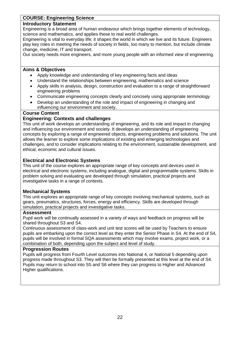# **COURSE: Engineering Science**

#### **Introductory Statement**

Engineering is a broad area of human endeavour which brings together elements of technology, science and mathematics, and applies these to real world challenges.

Engineering is vital to everyday life; it shapes the world in which we live and its future. Engineers play key roles in meeting the needs of society in fields, too many to mention, but include climate change, medicine, IT and transport.

Our society needs more engineers, and more young people with an informed view of engineering.

#### **Aims & Objectives**

- Apply knowledge and understanding of key engineering facts and ideas
- Understand the relationships between engineering, mathematics and science
- Apply skills in analysis, design, construction and evaluation to a range of straightforward engineering problems
- Communicate engineering concepts clearly and concisely using appropriate terminology
- Develop an understanding of the role and impact of engineering in changing and influencing our environment and society.

#### **Course Content**

#### **Engineering: Contexts and challenges**

This unit of work develops an understanding of engineering, and its role and impact in changing and influencing our environment and society. It develops an understanding of engineering concepts by exploring a range of engineered objects, engineering problems and solutions. The unit allows the learner to explore some implications of existing and emerging technologies and challenges, and to consider implications relating to the environment, sustainable development, and ethical, economic and cultural issues.

#### **Electrical and Electronic Systems**

This unit of the course explores an appropriate range of key concepts and devices used in electrical and electronic systems, including analogue, digital and programmable systems. Skills in problem solving and evaluating are developed through simulation, practical projects and investigative tasks in a range of contexts.

#### **Mechanical Systems**

This unit explores an appropriate range of key concepts involving mechanical systems, such as gears, pneumatics, structures, forces, energy and efficiency. Skills are developed through simulation, practical projects and investigative tasks.

#### **Assessment**

Pupil work will be continually assessed in a variety of ways and feedback on progress will be shared throughout S3 and S4.

Continuous assessment of class-work and unit test scores will be used by Teachers to ensure pupils are embarking upon the correct level as they enter the Senior Phase in S4. At the end of S4, pupils will be involved in formal SQA assessments which may involve exams, project work, or a combination of both, depending upon the subject and level of study.

#### **Progression Routes**

Pupils will progress from Fourth Level outcomes into National 4, or National 5 depending upon progress made throughout S3. They will then be formally presented at this level at the end of S4. Pupils may return to school into S5 and S6 where they can progress to Higher and Advanced Higher qualifications.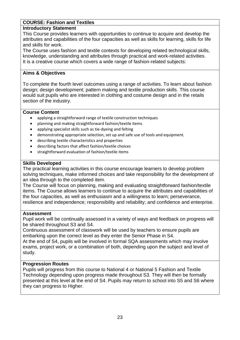# **COURSE: Fashion and Textiles**

## **Introductory Statement**

This Course provides learners with opportunities to continue to acquire and develop the attributes and capabilities of the four capacities as well as skills for learning, skills for life and skills for work.

The Course uses fashion and textile contexts for developing related technological skills, knowledge, understanding and attributes through practical and work-related activities. It is a creative course which covers a wide range of fashion-related subjects:

# **Aims & Objectives**

To complete the fourth level outcomes using a range of activities. To learn about fashion design; design development; pattern making and textile production skills. This course would suit pupils who are interested in clothing and costume design and in the retails section of the industry.

# **Course Content**

- applying a straightforward range of textile construction techniques
- planning and making straightforward fashion/textile items
- applying specialist skills such as tie-dyeing and felting
- demonstrating appropriate selection, set up and safe use of tools and equipment.
- describing textile characteristics and properties
- describing factors that affect fashion/textile choices
- straightforward evaluation of fashion/textile items

# **Skills Developed**

The practical learning activities in this course encourage learners to develop problem solving techniques, make informed choices and take responsibility for the development of an idea through to the completed item.

The Course will focus on planning, making and evaluating straightforward fashion/textile items. The Course allows learners to continue to acquire the attributes and capabilities of the four capacities, as well as enthusiasm and a willingness to learn; perseverance, resilience and independence; responsibility and reliability; and confidence and enterprise.

## **Assessment**

Pupil work will be continually assessed in a variety of ways and feedback on progress will be shared throughout S3 and S4.

Continuous assessment of classwork will be used by teachers to ensure pupils are embarking upon the correct level as they enter the Senior Phase in S4.

At the end of S4, pupils will be involved in formal SQA assessments which may involve exams, project work, or a combination of both, depending upon the subject and level of study.

## **Progression Routes**

Pupils will progress from this course to National 4 or National 5 Fashion and Textile Technology depending upon progress made throughout S3. They will then be formally presented at this level at the end of S4. Pupils may return to school into S5 and S6 where they can progress to Higher.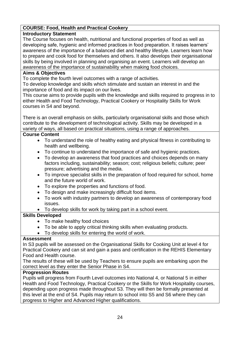# **COURSE: Food, Health and Practical Cookery**

# **Introductory Statement**

The Course focuses on health, nutritional and functional properties of food as well as developing safe, hygienic and informed practices in food preparation. It raises learners' awareness of the importance of a balanced diet and healthy lifestyle. Learners learn how to prepare and cook food for themselves and others. It also develops their organisational skills by being involved in planning and organising an event. Learners will develop an awareness of the importance of sustainability when making food choices.

# **Aims & Objectives**

To complete the fourth level outcomes with a range of activities.

To develop knowledge and skills which stimulate and sustain an interest in and the importance of food and its impact on our lives.

This course aims to provide pupils with the knowledge and skills required to progress in to either Health and Food Technology, Practical Cookery or Hospitality Skills for Work courses in S4 and beyond.

There is an overall emphasis on skills, particularly organisational skills and those which contribute to the development of technological activity. Skills may be developed in a variety of ways, all based on practical situations, using a range of approaches.

# **Course Content**

- To understand the role of healthy eating and physical fitness in contributing to health and wellbeing.
- To continue to understand the importance of safe and hygienic practices.
- To develop an awareness that food practices and choices depends on many factors including, sustainability; season; cost; religious beliefs; culture; peer pressure; advertising and the media.
- To improve specialist skills in the preparation of food required for school, home and the future world of work.
- To explore the properties and functions of food.
- To design and make increasingly difficult food items.
- To work with industry partners to develop an awareness of contemporary food issues.
- To develop skills for work by taking part in a school event.

# **Skills Developed**

- To make healthy food choices
- To be able to apply critical thinking skills when evaluating products.
- To develop skills for entering the world of work.

# **Assessment**

In S3 pupils will be assessed on the Organisational Skills for Cooking Unit at level 4 for Practical Cookery and can sit and gain a pass and certification in the REHIS Elementary Food and Health course.

The results of these will be used by Teachers to ensure pupils are embarking upon the correct level as they enter the Senior Phase in S4.

# **Progression Routes**

Pupils will progress from Fourth Level outcomes into National 4, or National 5 in either Health and Food Technology, Practical Cookery or the Skills for Work Hospitality courses, depending upon progress made throughout S3. They will then be formally presented at this level at the end of S4. Pupils may return to school into S5 and S6 where they can progress to Higher and Advanced Higher qualifications.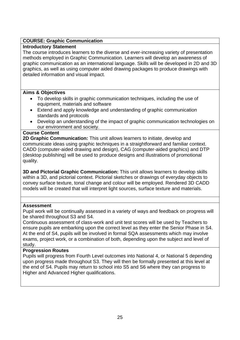# **COURSE: Graphic Communication**

## **Introductory Statement**

The course introduces learners to the diverse and ever-increasing variety of presentation methods employed in Graphic Communication. Learners will develop an awareness of graphic communication as an international language. Skills will be developed in 2D and 3D graphics, as well as using computer aided drawing packages to produce drawings with detailed information and visual impact.

#### **Aims & Objectives**

- To develop skills in graphic communication techniques, including the use of equipment, materials and software
- Extend and apply knowledge and understanding of graphic communication standards and protocols
- Develop an understanding of the impact of graphic communication technologies on our environment and society.

#### **Course Content**

**2D Graphic Communication:** This unit allows learners to initiate, develop and communicate ideas using graphic techniques in a straightforward and familiar context. CADD (computer-aided drawing and design), CAG (computer-aided graphics) and DTP (desktop publishing) will be used to produce designs and illustrations of promotional quality.

**3D and Pictorial Graphic Communication:** This unit allows learners to develop skills within a 3D, and pictorial context. Pictorial sketches or drawings of everyday objects to convey surface texture, tonal change and colour will be employed. Rendered 3D CADD models will be created that will interpret light sources, surface texture and materials.

#### **Assessment**

Pupil work will be continually assessed in a variety of ways and feedback on progress will be shared throughout S3 and S4.

Continuous assessment of class-work and unit test scores will be used by Teachers to ensure pupils are embarking upon the correct level as they enter the Senior Phase in S4. At the end of S4, pupils will be involved in formal SQA assessments which may involve exams, project work, or a combination of both, depending upon the subject and level of study.

## **Progression Routes**

Pupils will progress from Fourth Level outcomes into National 4, or National 5 depending upon progress made throughout S3. They will then be formally presented at this level at the end of S4. Pupils may return to school into S5 and S6 where they can progress to Higher and Advanced Higher qualifications.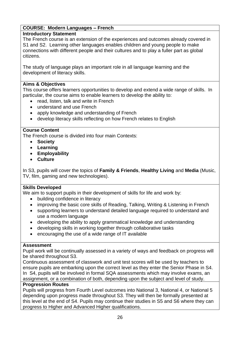# **COURSE: Modern Languages – French**

# **Introductory Statement**

The French course is an extension of the experiences and outcomes already covered in S1 and S2. Learning other languages enables children and young people to make connections with different people and their cultures and to play a fuller part as global citizens.

The study of language plays an important role in all language learning and the development of literacy skills.

# **Aims & Objectives**

This course offers learners opportunities to develop and extend a wide range of skills. In particular, the course aims to enable learners to develop the ability to:

- read, listen, talk and write in French
- understand and use French
- apply knowledge and understanding of French
- develop literacy skills reflecting on how French relates to English

# **Course Content**

The French course is divided into four main Contexts:

- **Society**
- **Learning**
- **Employability**
- **Culture**

In S3, pupils will cover the topics of **Family & Friends**, **Healthy Living** and **Media** (Music, TV, film, gaming and new technologies).

## **Skills Developed**

We aim to support pupils in their development of skills for life and work by:

- building confidence in literacy
- improving the basic core skills of Reading, Talking, Writing & Listening in French
- supporting learners to understand detailed language required to understand and use a modern language
- developing the ability to apply grammatical knowledge and understanding
- developing skills in working together through collaborative tasks
- encouraging the use of a wide range of IT available

## **Assessment**

Pupil work will be continually assessed in a variety of ways and feedback on progress will be shared throughout S3.

Continuous assessment of classwork and unit test scores will be used by teachers to ensure pupils are embarking upon the correct level as they enter the Senior Phase in S4. In S4, pupils will be involved in formal SQA assessments which may involve exams, an assignment, or a combination of both, depending upon the subject and level of study.

## **Progression Routes**

Pupils will progress from Fourth Level outcomes into National 3, National 4, or National 5 depending upon progress made throughout S3. They will then be formally presented at this level at the end of S4. Pupils may continue their studies in S5 and S6 where they can progress to Higher and Advanced Higher qualifications.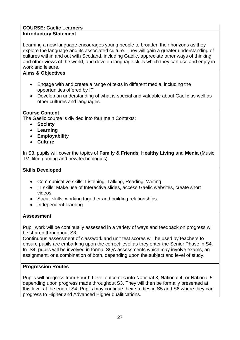# **COURSE: Gaelic Learners**

# **Introductory Statement**

Learning a new language encourages young people to broaden their horizons as they explore the language and its associated culture. They will gain a greater understanding of cultures within and out with Scotland, including Gaelic, appreciate other ways of thinking and other views of the world, and develop language skills which they can use and enjoy in work and leisure.

# **Aims & Objectives**

- Engage with and create a range of texts in different media, including the opportunities offered by IT
- Develop an understanding of what is special and valuable about Gaelic as well as other cultures and languages.

# **Course Content**

The Gaelic course is divided into four main Contexts:

- **Society**
- **Learning**
- **Employability**
- **Culture**

In S3, pupils will cover the topics of **Family & Friends**, **Healthy Living** and **Media** (Music, TV, film, gaming and new technologies).

## **Skills Developed**

- Communicative skills: Listening, Talking, Reading, Writing
- IT skills: Make use of Interactive slides, access Gaelic websites, create short videos.
- Social skills: working together and building relationships.
- Independent learning

## **Assessment**

Pupil work will be continually assessed in a variety of ways and feedback on progress will be shared throughout S3.

Continuous assessment of classwork and unit test scores will be used by teachers to ensure pupils are embarking upon the correct level as they enter the Senior Phase in S4. In S4, pupils will be involved in formal SQA assessments which may involve exams, an assignment, or a combination of both, depending upon the subject and level of study.

# **Progression Routes**

Pupils will progress from Fourth Level outcomes into National 3, National 4, or National 5 depending upon progress made throughout S3. They will then be formally presented at this level at the end of S4. Pupils may continue their studies in S5 and S6 where they can progress to Higher and Advanced Higher qualifications.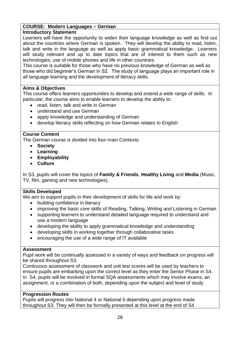# **COURSE: Modern Languages – German**

# **Introductory Statement**

Learners will have the opportunity to widen their language knowledge as well as find out about the countries where German is spoken. They will develop the ability to read, listen, talk and write in the language as well as apply basic grammatical knowledge. Learners will study relevant and up to date topics that are of interest to them such as new technologies, use of mobile phones and life in other countries.

This course is suitable for those who have no previous knowledge of German as well as those who did beginner's German in S2. The study of language plays an important role in all language learning and the development of literacy skills.

## **Aims & Objectives**

This course offers learners opportunities to develop and extend a wide range of skills. In particular, the course aims to enable learners to develop the ability to:

- read, listen, talk and write in German
- understand and use German
- apply knowledge and understanding of German
- develop literacy skills reflecting on how German relates to English

# **Course Content**

The German course is divided into four main Contexts:

- **Society**
- **Learning**
- **Employability**
- **Culture**

In S3, pupils will cover the topics of **Family & Friends**, **Healthy Living** and **Media** (Music, TV, film, gaming and new technologies).

## **Skills Developed**

We aim to support pupils in their development of skills for life and work by:

- building confidence in literacy
- improving the basic core skills of Reading, Talking, Writing and Listening in German
- supporting learners to understand detailed language required to understand and use a modern language
- developing the ability to apply grammatical knowledge and understanding
- developing skills in working together through collaborative tasks
- encouraging the use of a wide range of IT available

## **Assessment**

Pupil work will be continually assessed in a variety of ways and feedback on progress will be shared throughout S3.

Continuous assessment of classwork and unit test scores will be used by teachers to ensure pupils are embarking upon the correct level as they enter the Senior Phase in S4. In S4, pupils will be involved in formal SQA assessments which may involve exams, an assignment, or a combination of both, depending upon the subject and level of study.

## **Progression Routes**

Pupils will progress into National 4 or National 5 depending upon progress made throughout S3. They will then be formally presented at this level at the end of S4.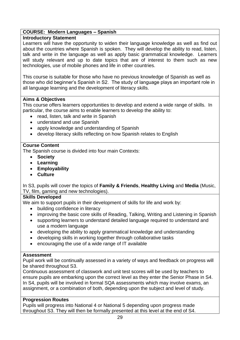## **COURSE: Modern Languages – Spanish**

## **Introductory Statement**

Learners will have the opportunity to widen their language knowledge as well as find out about the countries where Spanish is spoken. They will develop the ability to read, listen, talk and write in the language as well as apply basic grammatical knowledge. Learners will study relevant and up to date topics that are of interest to them such as new technologies, use of mobile phones and life in other countries.

This course is suitable for those who have no previous knowledge of Spanish as well as those who did beginner's Spanish in S2. The study of language plays an important role in all language learning and the development of literacy skills.

# **Aims & Objectives**

This course offers learners opportunities to develop and extend a wide range of skills. In particular, the course aims to enable learners to develop the ability to:

- read, listen, talk and write in Spanish
- understand and use Spanish
- apply knowledge and understanding of Spanish
- develop literacy skills reflecting on how Spanish relates to English

# **Course Content**

The Spanish course is divided into four main Contexts:

- **Society**
- **Learning**
- **Employability**
- **Culture**

In S3, pupils will cover the topics of **Family & Friends**, **Healthy Living** and **Media** (Music, TV, film, gaming and new technologies).

## **Skills Developed**

We aim to support pupils in their development of skills for life and work by:

- building confidence in literacy
- improving the basic core skills of Reading, Talking, Writing and Listening in Spanish
- supporting learners to understand detailed language required to understand and use a modern language
- developing the ability to apply grammatical knowledge and understanding
- developing skills in working together through collaborative tasks
- encouraging the use of a wide range of IT available

## **Assessment**

Pupil work will be continually assessed in a variety of ways and feedback on progress will be shared throughout S3.

Continuous assessment of classwork and unit test scores will be used by teachers to ensure pupils are embarking upon the correct level as they enter the Senior Phase in S4. In S4, pupils will be involved in formal SQA assessments which may involve exams, an assignment, or a combination of both, depending upon the subject and level of study.

## **Progression Routes**

Pupils will progress into National 4 or National 5 depending upon progress made throughout S3. They will then be formally presented at this level at the end of S4.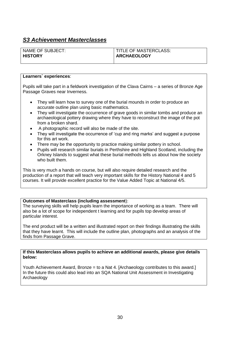|                | NAME OF SUBJECT: |
|----------------|------------------|
| <b>HISTORY</b> |                  |

#### TITLE OF MASTERCLASS: **ARCHAEOLOGY**

#### **Learners` experiences**:

Pupils will take part in a fieldwork investigation of the Clava Cairns – a series of Bronze Age Passage Graves near Inverness.

- They will learn how to survey one of the burial mounds in order to produce an accurate outline plan using basic mathematics.
- They will investigate the occurrence of grave goods in similar tombs and produce an archaeological pottery drawing where they have to reconstruct the image of the pot from a broken shard.
- A photographic record will also be made of the site.
- They will investigate the occurrence of 'cup and ring marks' and suggest a purpose for this art work.
- There may be the opportunity to practice making similar pottery in school.
- Pupils will research similar burials in Perthshire and Highland Scotland, including the Orkney Islands to suggest what these burial methods tells us about how the society who built them.

This is very much a hands on course, but will also require detailed research and the production of a report that will teach very important skills for the History National 4 and 5 courses. It will provide excellent practice for the Value Added Topic at National 4/5.

#### **Outcomes of Masterclass (including assessment**):

The surveying skills will help pupils learn the importance of working as a team. There will also be a lot of scope for independent t learning and for pupils top develop areas of particular interest.

The end product will be a written and illustrated report on their findings illustrating the skills that they have learnt. This will include the outline plan, photographs and an analysis of the finds from Passage Grave.

**If this Masterclass allows pupils to achieve an additional awards, please give details below:**

Youth Achievement Award, Bronze = to a Nat 4. [Archaeology contributes to this award.] In the future this could also lead into an SQA National Unit Assessment in Investigating Archaeology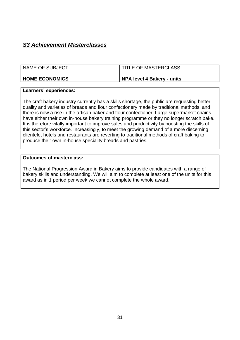| NAME OF SUBJECT:      | TITLE OF MASTERCLASS:             |
|-----------------------|-----------------------------------|
| <b>HOME ECONOMICS</b> | <b>NPA level 4 Bakery - units</b> |

#### **Learners' experiences:**

The craft bakery industry currently has a skills shortage, the public are requesting better quality and varieties of breads and flour confectionery made by traditional methods, and there is now a rise in the artisan baker and flour confectioner. Large supermarket chains have either their own in-house bakery training programme or they no longer scratch bake. It is therefore vitally important to improve sales and productivity by boosting the skills of this sector's workforce. Increasingly, to meet the growing demand of a more discerning clientele, hotels and restaurants are reverting to traditional methods of craft baking to produce their own in-house speciality breads and pastries.

#### **Outcomes of masterclass:**

The National Progression Award in Bakery aims to provide candidates with a range of bakery skills and understanding. We will aim to complete at least one of the units for this award as in 1 period per week we cannot complete the whole award.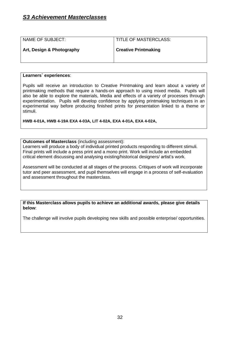| NAME OF SUBJECT:          | <b>TITLE OF MASTERCLASS:</b> |
|---------------------------|------------------------------|
| Art, Design & Photography | <b>Creative Printmaking</b>  |
|                           |                              |

#### **Learners` experiences**:

Pupils will receive an introduction to Creative Printmaking and learn about a variety of printmaking methods that require a hands-on approach to using mixed media. Pupils will also be able to explore the materials, Media and effects of a variety of processes through experimentation. Pupils will develop confidence by applying printmaking techniques in an experimental way before producing finished prints for presentation linked to a theme or stimuli.

**HWB 4-01A, HWB 4-19A EXA 4-03A, LIT 4-02A, EXA 4-01A, EXA 4-02A,**

#### **Outcomes of Masterclass** (including assessment):

Learners will produce a body of individual printed products responding to different stimuli. Final prints will include a press print and a mono print. Work will include an embedded critical element discussing and analysing existing/historical designers/ artist's work.

Assessment will be conducted at all stages of the process. Critiques of work will incorporate tutor and peer assessment, and pupil themselves will engage in a process of self-evaluation and assessment throughout the masterclass.

**If this Masterclass allows pupils to achieve an additional awards, please give details below**:

The challenge will involve pupils developing new skills and possible enterprise/ opportunities.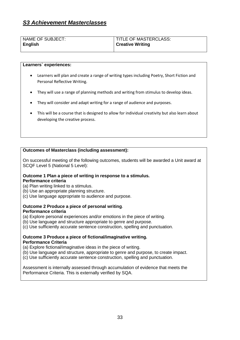| NAME OF SUBJECT: | TITLE OF MASTERCLASS:   |
|------------------|-------------------------|
| <b>English</b>   | <b>Creative Writing</b> |
|                  |                         |

#### **Learners` experiences:**

- Learners will plan and create a range of writing types including Poetry, Short Fiction and Personal Reflective Writing.
- They will use a range of planning methods and writing from stimulus to develop ideas.
- They will consider and adapt writing for a range of audience and purposes.
- This will be a course that is designed to allow for individual creativity but also learn about developing the creative process.

#### **Outcomes of Masterclass (including assessment):**

On successful meeting of the following outcomes, students will be awarded a Unit award at SCQF Level 5 (National 5 Level):

#### **Outcome 1 Plan a piece of writing in response to a stimulus. Performance criteria**

- (a) Plan writing linked to a stimulus.
- (b) Use an appropriate planning structure.
- (c) Use language appropriate to audience and purpose.

#### **Outcome 2 Produce a piece of personal writing**.

#### **Performance criteria**

- (a) Explore personal experiences and/or emotions in the piece of writing.
- (b) Use language and structure appropriate to genre and purpose.
- (c) Use sufficiently accurate sentence construction, spelling and punctuation.

#### **Outcome 3 Produce a piece of fictional/imaginative writing. Performance Criteria**

(a) Explore fictional/imaginative ideas in the piece of writing.

- (b) Use language and structure, appropriate to genre and purpose, to create impact.
- (c) Use sufficiently accurate sentence construction, spelling and punctuation.

Assessment is internally assessed through accumulation of evidence that meets the Performance Criteria. This is externally verified by SQA.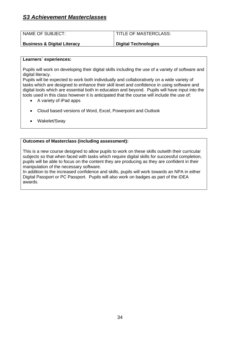| <b>NAME OF SUBJECT:</b> | TITLE OF MASTERCLASS: |
|-------------------------|-----------------------|
|                         |                       |

#### **Business & Digital Literacy**

**Digital Technologies**

#### **Learners` experiences:**

Pupils will work on developing their digital skills including the use of a variety of software and digital literacy.

Pupils will be expected to work both individually and collaboratively on a wide variety of tasks which are designed to enhance their skill level and confidence in using software and digital tools which are essential both in education and beyond. Pupils will have input into the tools used in this class however it is anticipated that the course will include the use of:

- A variety of iPad apps
- Cloud based versions of Word, Excel, Powerpoint and Outlook
- Wakelet/Sway

#### **Outcomes of Masterclass (including assessment):**

This is a new course designed to allow pupils to work on these skills outwith their curricular subjects so that when faced with tasks which require digital skills for successful completion, pupils will be able to focus on the content they are producing as they are confident in their manipulation of the necessary software.

In addition to the increased confidence and skills, pupils will work towards an NPA in either Digital Passport or PC Passport. Pupils will also work on badges as part of the iDEA awards.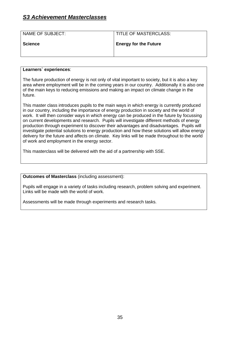| NAME OF SUBJECT: | <b>TITLE OF MASTERCLASS:</b> |
|------------------|------------------------------|
| <b>Science</b>   | <b>Energy for the Future</b> |
|                  |                              |

#### **Learners` experiences**:

The future production of energy is not only of vital important to society, but it is also a key area where employment will be in the coming years in our country. Additionally it is also one of the main keys to reducing emissions and making an impact on climate change in the future.

This master class introduces pupils to the main ways in which energy is currently produced in our country, including the importance of energy production in society and the world of work. It will then consider ways in which energy can be produced in the future by focussing on current developments and research. Pupils will investigate different methods of energy production through experiment to discover their advantages and disadvantages. Pupils will investigate potential solutions to energy production and how these solutions will allow energy delivery for the future and affects on climate. Key links will be made throughout to the world of work and employment in the energy sector.

This masterclass will be delivered with the aid of a partnership with SSE.

**Outcomes of Masterclass** (including assessment):

Pupils will engage in a variety of tasks including research, problem solving and experiment. Links will be made with the world of work.

Assessments will be made through experiments and research tasks.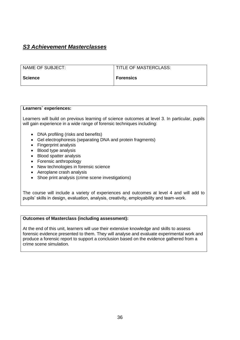| NAME OF SUBJECT: | TITLE OF MASTERCLASS: |
|------------------|-----------------------|
| <b>Science</b>   | <b>Forensics</b>      |

#### **Learners` experiences:**

Learners will build on previous learning of science outcomes at level 3. In particular, pupils will gain experience in a wide range of forensic techniques including:

- DNA profiling (risks and benefits)
- Gel electrophoresis (separating DNA and protein fragments)
- Fingerprint analysis
- Blood type analysis
- Blood spatter analysis
- Forensic anthropology
- New technologies in forensic science
- Aeroplane crash analysis
- Shoe print analysis (crime scene investigations)

The course will include a variety of experiences and outcomes at level 4 and will add to pupils' skills in design, evaluation, analysis, creativity, employability and team-work.

#### **Outcomes of Masterclass (including assessment):**

At the end of this unit, learners will use their extensive knowledge and skills to assess forensic evidence presented to them. They will analyse and evaluate experimental work and produce a forensic report to support a conclusion based on the evidence gathered from a crime scene simulation.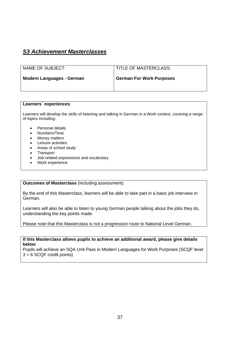| NAME OF SUBJECT:                 | <b>TITLE OF MASTERCLASS:</b>    |
|----------------------------------|---------------------------------|
| <b>Modern Languages - German</b> | <b>German For Work Purposes</b> |
|                                  |                                 |

#### **Learners` experiences**:

Learners will develop the skills of listening and talking in German in a Work context, covering a range of topics including:

- Personal details
- Numbers/Time
- Money matters
- Leisure activities
- Areas of school study
- Transport
- Job-related expressions and vocabulary
- Work experience

#### **Outcomes of Masterclass** (including assessment):

By the end of this Masterclass, learners will be able to take part in a basic job interview in German.

Learners will also be able to listen to young German people talking about the jobs they do, understanding the key points made.

Please note that this Masterclass is not a progression route to National Level German.

**If this Masterclass allows pupils to achieve an additional award, please give details below**:

Pupils will achieve an SQA Unit Pass in Modern Languages for Work Purposes (SCQF level  $3 = 6$  SCQF credit points)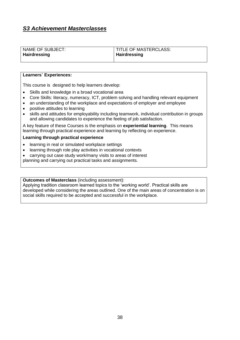| NAME OF SUBJECT: | TITLE OF MASTERCLASS: |
|------------------|-----------------------|
| Hairdressing     | <b>Hairdressing</b>   |
|                  |                       |

#### **Learners` Experiences:**

This course is designed to help learners develop:

- Skills and knowledge in a broad vocational area
- Core Skills: literacy, numeracy, ICT, problem solving and handling relevant equipment
- an understanding of the workplace and expectations of employer and employee
- positive attitudes to learning
- skills and attitudes for employability including teamwork, individual contribution in groups and allowing candidates to experience the feeling of job satisfaction.

A key feature of these Courses is the emphasis on **experiential learning**. This means learning through practical experience and learning by reflecting on experience.

#### **Learning through practical experience**

- learning in real or simulated workplace settings
- learning through role play activities in vocational contexts
- carrying out case study work/many visits to areas of interest

planning and carrying out practical tasks and assignments.

**Outcomes of Masterclass** (including assessment):

Applying tradition classroom learned topics to the 'working world'. Practical skills are developed while considering the areas outlined. One of the main areas of concentration is on social skills required to be accepted and successful in the workplace.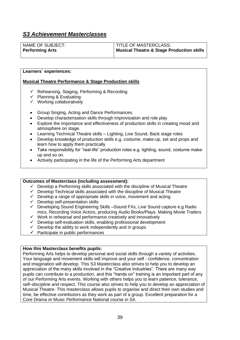| NAME OF SUBJECT:       | <b>I TITLE OF MASTERCLASS:</b>            |
|------------------------|-------------------------------------------|
| <b>Performing Arts</b> | Musical Theatre & Stage Production skills |

#### **Learners` experiences:**

#### **Musical Theatre Performance & Stage Production skills**

- ✓ Rehearsing, Staging, Performing & Recording
- $\checkmark$  Planning & Evaluating
- ✓ Working collaboratively
- Group Singing, Acting and Dance Performances.
- Develop characterisation skills through improvisation and role play
- Explore the importance and effectiveness of production skills in creating mood and atmosphere on stage.
- Learning Technical Theatre skills Lighting, Live Sound, Back stage roles
- Develop knowledge of production skills e.g. costume, make-up, set and props and learn how to apply them practically
- Take responsibility for "real-life" production roles e.g. lighting, sound, costume makeup and so on.
- Actively participating in the life of the Performing Arts department

#### **Outcomes of Masterclass (including assessment):**

- $\checkmark$  Develop a Performing skills associated with the discipline of Musical Theatre
- $\checkmark$  Develop Technical skills associated with the discipline of Musical Theatre
- ✓ Develop a range of appropriate skills in voice, movement and acting
- $\checkmark$  Develop self-presentation skills
- ✓ Developing Sound Engineering Skills –Sound FXs, Live Sound capture e.g Radio mics, Recording Voice Actors, producing Audio Books/Plays. Making Movie Trailers
- $\checkmark$  Work in rehearsal and performance creatively and innovatively
- ✓ Develop self-evaluation skills, enabling professional development
- $\checkmark$  Develop the ability to work independently and in groups
- $\checkmark$  Participate in public performances

#### **How this Masterclass benefits pupils:**

Performing Arts helps to develop personal and social skills through a variety of activities. Your language and movement skills will improve and your self - confidence, concentration and imagination will develop. This S3 Masterclass also strives to help you to develop an appreciation of the many skills involved in the "Creative Industries". There are many way pupils can contribute to a production, and this "hands on" training is an important part of any of our Performing Arts events. Working with others helps you to learn patience, tolerance, self–discipline and respect. This course also strives to help you to develop an appreciation of Musical Theatre. This masterclass allows pupils to organise and direct their own studies and time, be effective contributors as they work as part of a group. Excellent preparation for a Core Drama or Music Performance National course in S4.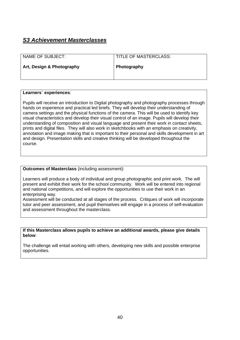| NAME OF SUBJECT:          | <b>TITLE OF MASTERCLASS:</b> |
|---------------------------|------------------------------|
| Art, Design & Photography | Photography                  |

#### **Learners` experiences**:

Pupils will receive an introduction to Digital photography and photography processes through hands on experience and practical led briefs. They will develop their understanding of camera settings and the physical functions of the camera. This will be used to identify key visual characteristics and develop their visual control of an image. Pupils will develop their understanding of composition and visual language and present their work in contact sheets, prints and digital files. They will also work in sketchbooks with an emphasis on creativity, annotation and image making that is important to their personal and skills development in art and design. Presentation skills and creative thinking will be developed throughout the course.

#### **Outcomes of Masterclass** (including assessment):

Learners will produce a body of individual and group photographic and print work. The will present and exhibit their work for the school community. Work will be entered into regional and national competitions, and will explore the opportunities to use their work in an enterprising way.

Assessment will be conducted at all stages of the process. Critiques of work will incorporate tutor and peer assessment, and pupil themselves will engage in a process of self-evaluation and assessment throughout the masterclass.

#### **If this Masterclass allows pupils to achieve an additional awards, please give details below**:

The challenge will entail working with others, developing new skills and possible enterprise opportunities.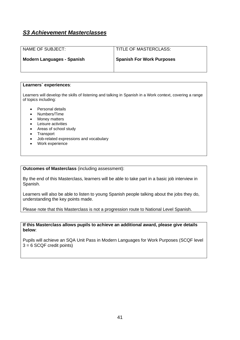| NAME OF SUBJECT:                  | TITLE OF MASTERCLASS:            |
|-----------------------------------|----------------------------------|
| <b>Modern Languages - Spanish</b> | <b>Spanish For Work Purposes</b> |

#### **Learners` experiences**:

Learners will develop the skills of listening and talking in Spanish in a Work context, covering a range of topics including:

- Personal details
- Numbers/Time
- Money matters
- Leisure activities
- Areas of school study
- Transport
- Job-related expressions and vocabulary
- Work experience

**Outcomes of Masterclass** (including assessment):

By the end of this Masterclass, learners will be able to take part in a basic job interview in Spanish.

Learners will also be able to listen to young Spanish people talking about the jobs they do, understanding the key points made.

Please note that this Masterclass is not a progression route to National Level Spanish.

**If this Masterclass allows pupils to achieve an additional award, please give details below**:

Pupils will achieve an SQA Unit Pass in Modern Languages for Work Purposes (SCQF level  $3 = 6$  SCQF credit points)